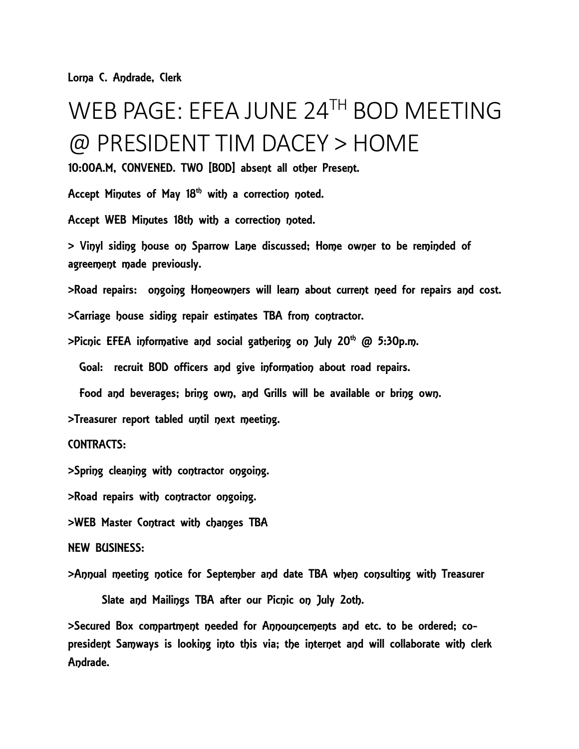Lorna C. Andrade, Clerk

## WEB PAGE: EFEA JUNE 24TH BOD MEETING @ PRESIDENT TIM DACEY > HOME

10:00A.M, CONVENED. TWO [BOD] absent all other Present.

Accept Minutes of May  $18<sup>th</sup>$  with a correction noted.

Accept WEB Minutes 18th with a correction noted.

> Vinyl siding house on Sparrow Lane discussed; Home owner to be reminded of agreement made previously.

>Road repairs: ongoing Homeowners will learn about current need for repairs and cost.

>Carriage house siding repair estimates TBA from contractor.

 $>$ Picnic EFEA informative and social gathering on July 20<sup>th</sup> @ 5:30p.m.

Goal: recruit BOD officers and give information about road repairs.

Food and beverages; bring own, and Grills will be available or bring own.

>Treasurer report tabled until next meeting.

CONTRACTS:

>Spring cleaning with contractor ongoing.

>Road repairs with contractor ongoing.

>WEB Master Contract with changes TBA

## NEW BUSINESS:

>Annual meeting notice for September and date TBA when consulting with Treasurer

Slate and Mailings TBA after our Picnic on July 2oth.

>Secured Box compartment needed for Announcements and etc. to be ordered; copresident Samways is looking into this via; the internet and will collaborate with clerk Andrade.